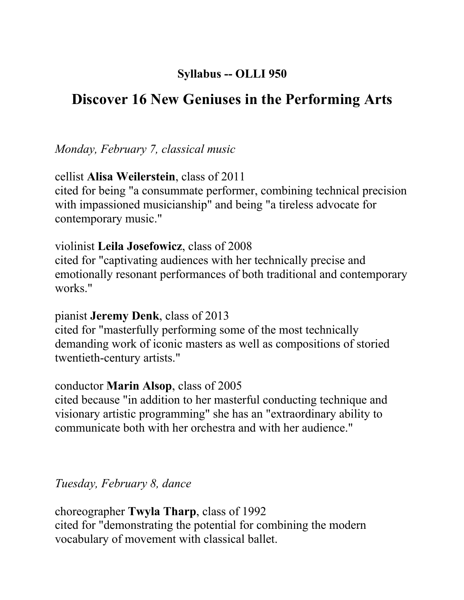## **Syllabus -- OLLI 950**

# **Discover 16 New Geniuses in the Performing Arts**

*Monday, February 7, classical music*

cellist **Alisa Weilerstein**, class of 2011

cited for being "a consummate performer, combining technical precision with impassioned musicianship" and being "a tireless advocate for contemporary music."

#### violinist **Leila Josefowicz**, class of 2008

cited for "captivating audiences with her technically precise and emotionally resonant performances of both traditional and contemporary works."

#### pianist **Jeremy Denk**, class of 2013

cited for "masterfully performing some of the most technically demanding work of iconic masters as well as compositions of storied twentieth-century artists."

#### conductor **Marin Alsop**, class of 2005

cited because "in addition to her masterful conducting technique and visionary artistic programming" she has an "extraordinary ability to communicate both with her orchestra and with her audience."

*Tuesday, February 8, dance*

choreographer **Twyla Tharp**, class of 1992 cited for "demonstrating the potential for combining the modern vocabulary of movement with classical ballet.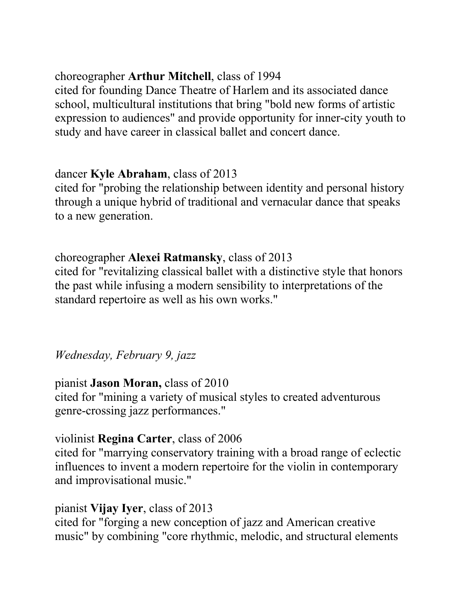### choreographer **Arthur Mitchell**, class of 1994

cited for founding Dance Theatre of Harlem and its associated dance school, multicultural institutions that bring "bold new forms of artistic expression to audiences" and provide opportunity for inner-city youth to study and have career in classical ballet and concert dance.

## dancer **Kyle Abraham**, class of 2013

cited for "probing the relationship between identity and personal history through a unique hybrid of traditional and vernacular dance that speaks to a new generation.

# choreographer **Alexei Ratmansky**, class of 2013

cited for "revitalizing classical ballet with a distinctive style that honors the past while infusing a modern sensibility to interpretations of the standard repertoire as well as his own works."

*Wednesday, February 9, jazz*

### pianist **Jason Moran,** class of 2010

cited for "mining a variety of musical styles to created adventurous genre-crossing jazz performances."

### violinist **Regina Carter**, class of 2006

cited for "marrying conservatory training with a broad range of eclectic influences to invent a modern repertoire for the violin in contemporary and improvisational music."

### pianist **Vijay Iyer**, class of 2013

cited for "forging a new conception of jazz and American creative music" by combining "core rhythmic, melodic, and structural elements